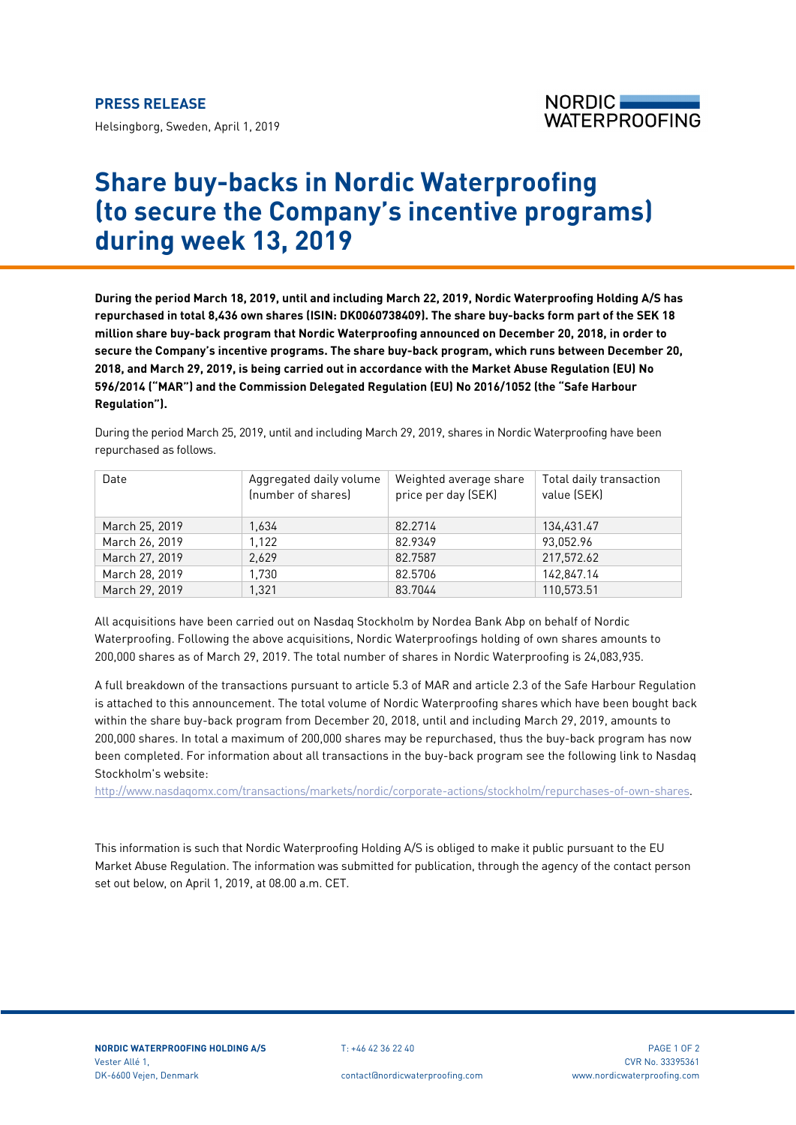Helsingborg, Sweden, April 1, 2019



## **Share buy-backs in Nordic Waterproofing (to secure the Company's incentive programs) during week 13, 2019**

**During the period March 18, 2019, until and including March 22, 2019, Nordic Waterproofing Holding A/S has repurchased in total 8,436 own shares (ISIN: DK0060738409). The share buy-backs form part of the SEK 18 million share buy-back program that Nordic Waterproofing announced on December 20, 2018, in order to secure the Company's incentive programs. The share buy-back program, which runs between December 20, 2018, and March 29, 2019, is being carried out in accordance with the Market Abuse Regulation (EU) No 596/2014 ("MAR") and the Commission Delegated Regulation (EU) No 2016/1052 (the "Safe Harbour Regulation").**

During the period March 25, 2019, until and including March 29, 2019, shares in Nordic Waterproofing have been repurchased as follows.

| Date           | Aggregated daily volume<br>(number of shares) | Weighted average share<br>price per day (SEK) | Total daily transaction<br>value (SEK) |
|----------------|-----------------------------------------------|-----------------------------------------------|----------------------------------------|
| March 25, 2019 | 1.634                                         | 82.2714                                       | 134,431.47                             |
| March 26, 2019 | 1.122                                         | 82.9349                                       | 93.052.96                              |
| March 27, 2019 | 2.629                                         | 82.7587                                       | 217,572.62                             |
| March 28, 2019 | 1,730                                         | 82.5706                                       | 142,847.14                             |
| March 29, 2019 | 1.321                                         | 83.7044                                       | 110,573.51                             |

All acquisitions have been carried out on Nasdaq Stockholm by Nordea Bank Abp on behalf of Nordic Waterproofing. Following the above acquisitions, Nordic Waterproofings holding of own shares amounts to 200,000 shares as of March 29, 2019. The total number of shares in Nordic Waterproofing is 24,083,935.

A full breakdown of the transactions pursuant to article 5.3 of MAR and article 2.3 of the Safe Harbour Regulation is attached to this announcement. The total volume of Nordic Waterproofing shares which have been bought back within the share buy-back program from December 20, 2018, until and including March 29, 2019, amounts to 200,000 shares. In total a maximum of 200,000 shares may be repurchased, thus the buy-back program has now been completed. For information about all transactions in the buy-back program see the following link to Nasdaq Stockholm's website:

[http://www.nasdaqomx.com/transactions/markets/nordic/corporate-actions/stockholm/repurchases-of-own-shares.](http://www.nasdaqomx.com/transactions/markets/nordic/corporate-actions/stockholm/repurchases-of-own-shares)

This information is such that Nordic Waterproofing Holding A/S is obliged to make it public pursuant to the EU Market Abuse Regulation. The information was submitted for publication, through the agency of the contact person set out below, on April 1, 2019, at 08.00 a.m. CET.